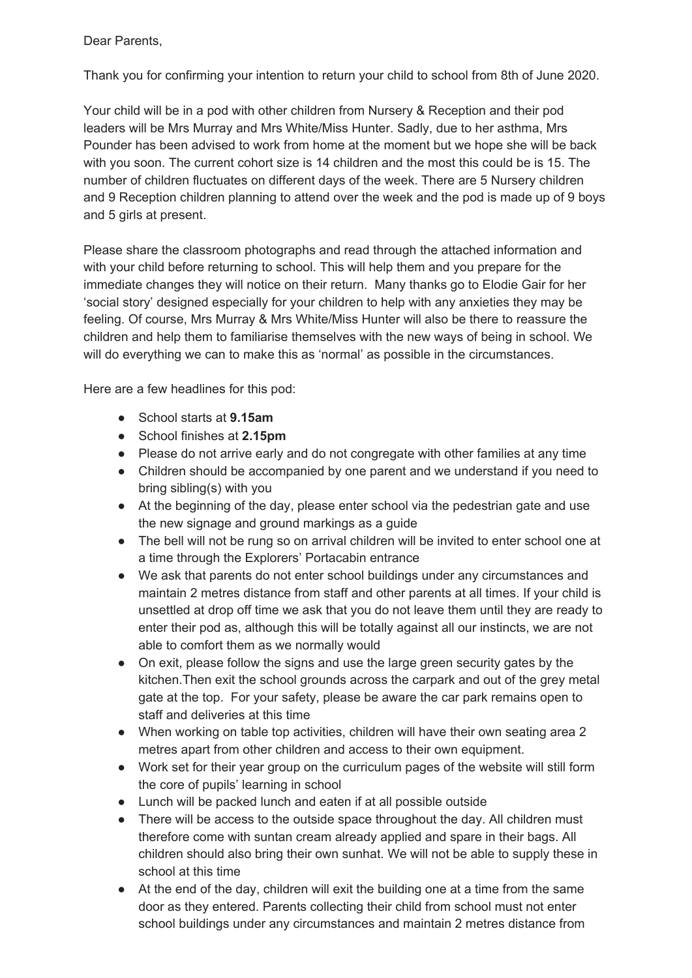Dear Parents,

Thank you for confirming your intention to return your child to school from 8th of June 2020.

Your child will be in a pod with other children from Nursery & Reception and their pod leaders will be Mrs Murray and Mrs White/Miss Hunter. Sadly, due to her asthma, Mrs Pounder has been advised to work from home at the moment but we hope she will be back with you soon. The current cohort size is 14 children and the most this could be is 15. The number of children fluctuates on different days of the week. There are 5 Nursery children and 9 Reception children planning to attend over the week and the pod is made up of 9 boys and 5 girls at present.

Please share the classroom photographs and read through the attached information and with your child before returning to school. This will help them and you prepare for the immediate changes they will notice on their return. Many thanks go to Elodie Gair for her 'social story' designed especially for your children to help with any anxieties they may be feeling. Of course, Mrs Murray & Mrs White/Miss Hunter will also be there to reassure the children and help them to familiarise themselves with the new ways of being in school. We will do everything we can to make this as 'normal' as possible in the circumstances.

Here are a few headlines for this pod:

- School starts at **9.15am**
- School finishes at **2.15pm**
- Please do not arrive early and do not congregate with other families at any time
- Children should be accompanied by one parent and we understand if you need to bring sibling(s) with you
- At the beginning of the day, please enter school via the pedestrian gate and use the new signage and ground markings as a guide
- The bell will not be rung so on arrival children will be invited to enter school one at a time through the Explorers' Portacabin entrance
- We ask that parents do not enter school buildings under any circumstances and maintain 2 metres distance from staff and other parents at all times. If your child is unsettled at drop off time we ask that you do not leave them until they are ready to enter their pod as, although this will be totally against all our instincts, we are not able to comfort them as we normally would
- On exit, please follow the signs and use the large green security gates by the kitchen.Then exit the school grounds across the carpark and out of the grey metal gate at the top. For your safety, please be aware the car park remains open to staff and deliveries at this time
- When working on table top activities, children will have their own seating area 2 metres apart from other children and access to their own equipment.
- Work set for their year group on the curriculum pages of the website will still form the core of pupils' learning in school
- Lunch will be packed lunch and eaten if at all possible outside
- There will be access to the outside space throughout the day. All children must therefore come with suntan cream already applied and spare in their bags. All children should also bring their own sunhat. We will not be able to supply these in school at this time
- At the end of the day, children will exit the building one at a time from the same door as they entered. Parents collecting their child from school must not enter school buildings under any circumstances and maintain 2 metres distance from